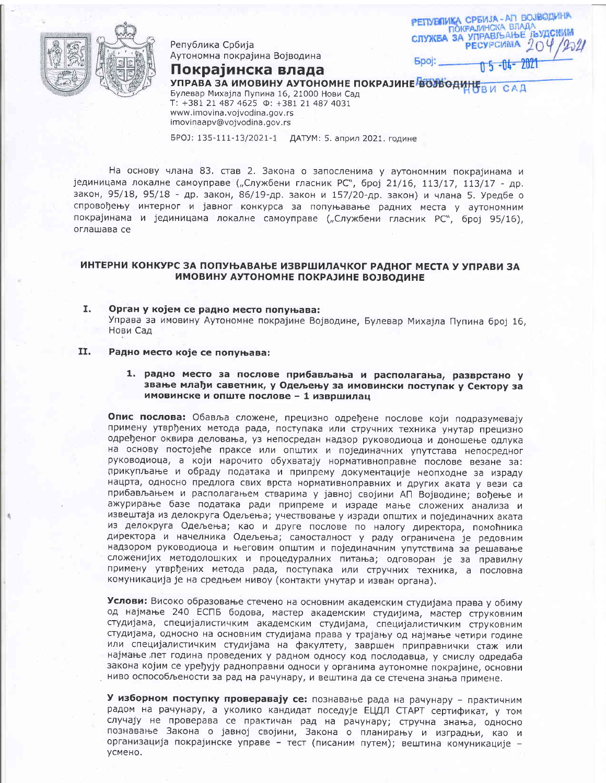

Република Србија Аутономна покрајина Војводина

Покрајинска влада

РЕПУБЛИКА СРБИЈА-АП ВОЈВОДИНА ПОКРАЛИНСКА ВЛАДА<br>СЛУЖБА ЗА УПРАВЉАЊЕ ЈЪУДСКИМ PECYPCUMA<sub>20</sub> Spoj: n 5 - 04 - 2021

УПРАВА ЗА ИМОВИНУ АУТОНОМНЕ ПОКРАЈИНЕ ВОЈВОДИНЕ В И САД

Булевар Михајла Пупина 16, 21000 Нови Сад T: +381 21 487 4625 0: +381 21 487 4031 www.imovina.voivodina.gov.rs imovinaapv@vojvodina.gov.rs

БРОЈ: 135-111-13/2021-1 ДАТУМ: 5. април 2021. године

На основу члана 83. став 2. Закона о запосленима у аутономним покрајинама и јединицама локалне самоуправе ("Службени гласник РС", број 21/16, 113/17, 113/17 - др. закон, 95/18, 95/18 - др. закон, 86/19-др. закон и 157/20-др. закон) и члана 5. Уредбе о спровођењу интерног и јавног конкурса за попуњавање радних места у аутономним покрајинама и јединицама локалне самоуправе ("Службени гласник РС", број 95/16), оглашава се

# ИНТЕРНИ КОНКУРС ЗА ПОПУЊАВАЊЕ ИЗВРШИЛАЧКОГ РАДНОГ МЕСТА У УПРАВИ ЗА ИМОВИНУ АУТОНОМНЕ ПОКРАЈИНЕ ВОЈВОДИНЕ

I. Орган у којем се радно место попуњава: Управа за имовину Аутономне покрајине Војводине, Булевар Михајла Пупина број 16, Нови Сад

### 11. Радно место које се попуњава:

1. радно место за послове прибављања и располагања, разврстано у звање млађи саветник, у Одељењу за имовински поступак у Сектору за имовинске и опште послове - 1 извршилац

Опис послова: Обавља сложене, прецизно одређене послове који подразумевају примену утврђених метода рада, поступака или стручних техника унутар прецизно одређеног оквира деловања, уз непосредан надзор руководиоца и доношење одлука на основу постојеће праксе или општих и појединачних упутстава непосредног руководиоца, а који нарочито обухватају нормативноправне послове везане за: прикупљање и обраду података и припрему документације неопходне за израду нацрта, односно предлога свих врста нормативноправних и других аката у вези са прибављањем и располагањем стварима у јавној својини АП Војводине; вођење и ажурирање базе података ради припреме и израде мање сложених анализа и извештаја из делокруга Одељења; учествовање у изради општих и појединачних аката из делокруга Одељења; као и друге послове по налогу директора, помоћника директора и начелника Одељења; самосталност у раду ограничена је редовним надзором руководиоца и његовим општим и појединачним упутствима за решавање сложенијих методолошких и процедуралних питања; одговоран је за правилну примену утврђених метода рада, поступака или стручних техника, а пословна комуникација је на средњем нивоу (контакти унутар и изван органа).

Услови: Високо образовање стечено на основним академским студијама права у обиму од најмање 240 ЕСПБ бодова, мастер академским студијима, мастер струковним студијама, специјалистичким академским студијама, специјалистичким струковним студијама, односно на основним студијама права у трајању од најмање четири године или специјалистичким студијама на факултету, завршен приправнички стаж или најмање пет година проведених у радном односу код послодавца, у смислу одредаба закона којим се уређују радноправни односи у органима аутономне покрајине, основни ниво оспособљености за рад на рачунару, и вештина да се стечена знања примене.

У изборном поступку проверавају се: познавање рада на рачунару - практичним радом на рачунару, а уколико кандидат поседује ЕЦДЛ СТАРТ сертификат, у том случају не проверава се практичан рад на рачунару; стручна знања, односно познавање Закона о јавној својини, Закона о планирању и изградњи, као и организација покрајинске управе - тест (писаним путем); вештина комуникације усмено.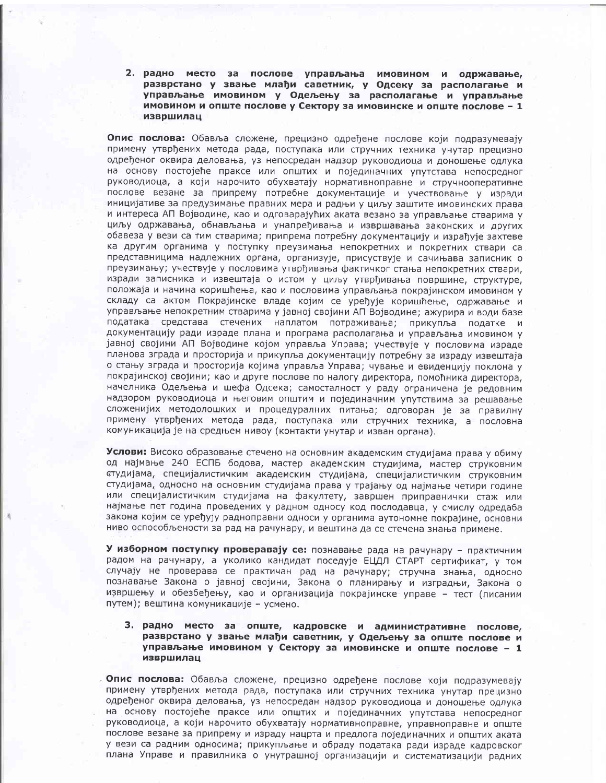2. радно место за послове управљања имовином и одржавање, разврстано у звање млађи саветник, у Одсеку за располагање и управљање имовином у Одељењу за располагање и управљање имовином и опште послове у Сектору за имовинске и опште послове - 1 извршилац

Опис послова: Обавља сложене, прецизно одређене послове који подразумевају примену утврђених метода рада, поступака или стручних техника унутар прецизно одређеног оквира деловања, уз непосредан надзор руководиоца и доношење одлука на основу постојеће праксе или општих и појединачних упутстава непосредног руководиоца, а који нарочито обухватају нормативноправне и стручнооперативне послове везане за припрему потребне документације и учествовање у изради иницијативе за предузимање правних мера и радњи у циљу заштите имовинских права и интереса АП Војводине, као и одговарајућих аката везано за управљање стварима у циљу одржавања, обнављања и унапређивања и извршавања законских и других обавеза у вези са тим стварима; припрема потребну документацију и израђује захтеве ка другим органима у поступку преузимања непокретних и покретних ствари са представницима надлежних органа, организује, присуствује и сачињава записник о преузимању; учествује у пословима утврђивања фактичког стања непокретних ствари, изради записника и извештаја о истом у циљу утврђивања површине, структуре, положаја и начина коришћења, као и пословима управљања покрајинском имовином у складу са актом Покрајинске владе којим се уређује коришћење, одржавање и управљање непокретним стварима у јавној својини АП Војводине; ажурира и води базе података средстава стечених наплатом потраживања; прикупља податке и документацију ради израде плана и програма располагања и управљања имовином у јавној својини АП Војводине којом управља Управа; учествује у пословима израде планова зграда и просторија и прикупља документацију потребну за израду извештаја о стању зграда и просторија којима управља Управа; чување и евиденцију поклона у покрајинској својини; као и друге послове по налогу директора, помоћника директора, начелника Одељења и шефа Одсека; самосталност у раду ограничена је редовним надзором руководиоца и његовим општим и појединачним упутствима за решавање сложенијих методолошких и процедуралних питања; одговоран је за правилну примену утврђених метода рада, поступака или стручних техника, а пословна комуникација је на средњем нивоу (контакти унутар и изван органа).

Услови: Високо образовање стечено на основним академским студијама права у обиму од најмање 240 ЕСПБ бодова, мастер академским студијима, мастер струковним студијама, специјалистичким академским студијама, специјалистичким струковним студијама, односно на основним студијама права у трајању од најмање четири године или специјалистичким студијама на факултету, завршен приправнички стаж или најмање пет година проведених у радном односу код послодавца, у смислу одредаба закона којим се уређују радноправни односи у органима аутономне покрајине, основни ниво оспособљености за рад на рачунару, и вештина да се стечена знања примене.

У изборном поступку проверавају се: познавање рада на рачунару - практичним радом на рачунару, а уколико кандидат поседује ЕЦДЛ СТАРТ сертификат, у том случају не проверава се практичан рад на рачунару; стручна знања, односно познавање Закона о јавној својини, Закона о планирању и изградњи, Закона о извршењу и обезбеђењу, као и организација покрајинске управе - тест (писаним путем); вештина комуникације - усмено.

## 3. радно место за опште, кадровске и административне послове, разврстано у звање млађи саветник, у Одељењу за опште послове и управљање имовином у Сектору за имовинске и опште послове - 1 извршилац

Опис послова: Обавља сложене, прецизно одређене послове који подразумевају примену утврђених метода рада, поступака или стручних техника унутар прецизно одређеног оквира деловања, уз непосредан надзор руководиоца и доношење одлука на основу постојеће праксе или општих и појединачних упутстава непосредног руководиоца, а који нарочито обухватају нормативноправне, управноправне и опште послове везане за припрему и израду нацрта и предлога појединачних и општих аката у вези са радним односима; прикупљање и обраду података ради израде кадровског плана Управе и правилника о унутрашној организацији и систематизацији радних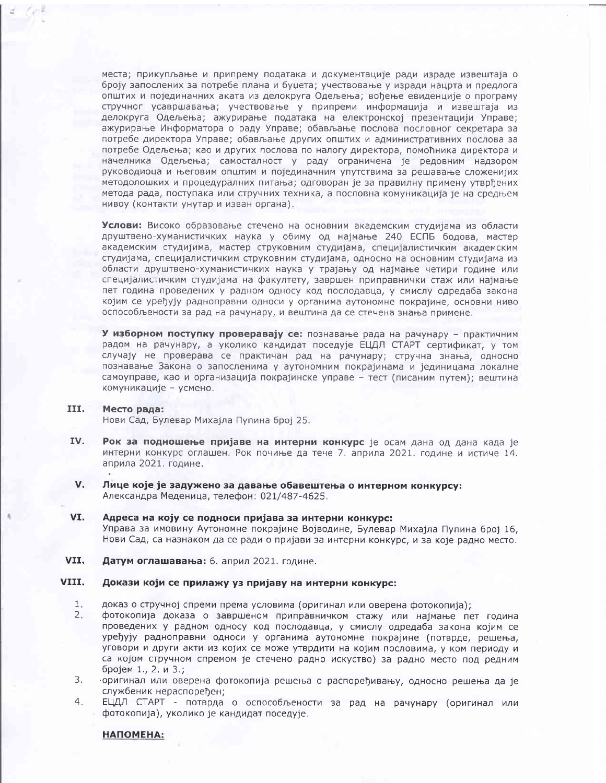места; прикупљање и припрему података и документације ради израде извештаја о броју запослених за потребе плана и буџета; учествовање у изради нацрта и предлога општих и појединачних аката из делокруга Одељења; вођење евиденције о програму стручног усавршавања; учествовање у припреми информација и извештаја из делокруга Одељења; ажурирање података на електронској презентацији Управе; ажурирање Информатора о раду Управе; обављање послова пословног секретара за потребе директора Управе; обављање других општих и административних послова за потребе Одељења; као и других послова по налогу директора, помоћника директора и начелника Одељења; самосталност у раду ограничена је редовним надзором руководиоца и његовим општим и појединачним упутствима за решавање сложенијих методолошких и процедуралних питања; одговоран је за правилну примену утврђених метода рада, поступака или стручних техника, а пословна комуникација је на средњем нивоу (контакти унутар и изван органа).

Услови: Високо образовање стечено на основним академским студијама из области друштвено-хуманистичких наука у обиму од најмање 240 ЕСПБ бодова, мастер академским студијима, мастер струковним студијама, специјалистичким академским студијама, специјалистичким струковним студијама, односно на основним студијама из области друштвено-хуманистичких наука у трајању од најмање четири године или специјалистичким студијама на факултету, завршен приправнички стаж или најмање пет година проведених у радном односу код послодавца, у смислу одредаба закона којим се уређују радноправни односи у органима аутономне покрајине, основни ниво оспособљености за рад на рачунару, и вештина да се стечена знања примене.

У изборном поступку проверавају се: познавање рада на рачунару - практичним радом на рачунару, а уколико кандидат поседује ЕЦДЛ СТАРТ сертификат, у том случају не проверава се практичан рад на рачунару; стручна знања, односно познавање Закона о запосленима у аутономним покрајинама и јединицама локалне самоуправе, као и организација покрајинске управе - тест (писаним путем); вештина комуникације - усмено.

### III. Место рада:

Нови Сад, Булевар Михајла Пупина број 25.

- IV. Рок за подношење пријаве на интерни конкурс је осам дана од дана када је интерни конкурс оглашен. Рок почиње да тече 7. априла 2021. године и истиче 14. априла 2021. године.
- $V_{1}$ Лице које је задужено за давање обавештења о интерном конкурсу: Александра Меденица, телефон: 021/487-4625.
- VI. Адреса на коју се подноси пријава за интерни конкурс: Управа за имовину Аутономне покрајине Војводине, Булевар Михајла Пупина број 16, Нови Сад, са назнаком да се ради о пријави за интерни конкурс, и за које радно место.
- VII. Датум оглашавања: 6. април 2021. године.

## VIII. Докази који се прилажу уз пријаву на интерни конкурс:

- $1.$ доказ о стручној спреми према условима (оригинал или оверена фотокопија);
- $2.$ фотокопија доказа о завршеном приправничком стажу или најмање пет година проведених у радном односу код послодавца, у смислу одредаба закона којим се уређују радноправни односи у органима аутономне покрајине (потврде, решења, уговори и други акти из којих се може утврдити на којим пословима, у ком периоду и са којом стручном спремом је стечено радно искуство) за радно место под редним бројем 1., 2. и 3.;
- 3. оригинал или оверена фотокопија решења о распоређивању, односно решења да је службеник нераспоређен;
- $4.$ ЕЦДЛ СТАРТ - потврда о оспособљености за рад на рачунару (оригинал или фотокопија), уколико је кандидат поседује.

**НАПОМЕНА:**